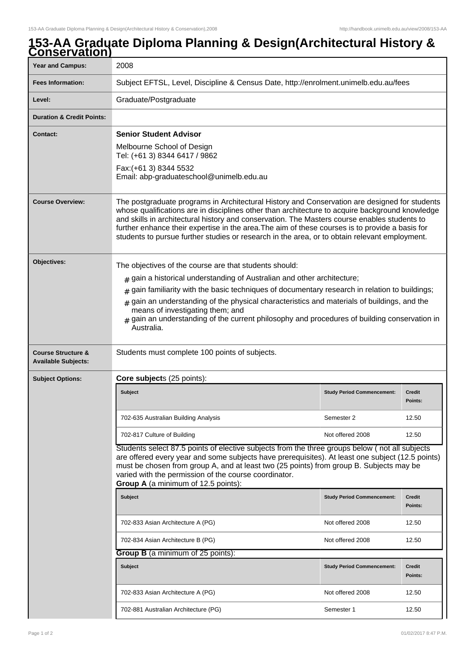## **153-AA Graduate Diploma Planning & Design(Architectural History & Conservation)**

| <b>Year and Campus:</b>                                     | 2008                                                                                                                                                                                                                                                                                                                                                                                                                                                                                                 |                                   |                          |  |
|-------------------------------------------------------------|------------------------------------------------------------------------------------------------------------------------------------------------------------------------------------------------------------------------------------------------------------------------------------------------------------------------------------------------------------------------------------------------------------------------------------------------------------------------------------------------------|-----------------------------------|--------------------------|--|
| <b>Fees Information:</b>                                    | Subject EFTSL, Level, Discipline & Census Date, http://enrolment.unimelb.edu.au/fees                                                                                                                                                                                                                                                                                                                                                                                                                 |                                   |                          |  |
| Level:                                                      | Graduate/Postgraduate                                                                                                                                                                                                                                                                                                                                                                                                                                                                                |                                   |                          |  |
| <b>Duration &amp; Credit Points:</b>                        |                                                                                                                                                                                                                                                                                                                                                                                                                                                                                                      |                                   |                          |  |
| <b>Contact:</b>                                             | <b>Senior Student Advisor</b>                                                                                                                                                                                                                                                                                                                                                                                                                                                                        |                                   |                          |  |
|                                                             | Melbourne School of Design<br>Tel: (+61 3) 8344 6417 / 9862                                                                                                                                                                                                                                                                                                                                                                                                                                          |                                   |                          |  |
|                                                             | Fax: (+61 3) 8344 5532<br>Email: abp-graduateschool@unimelb.edu.au                                                                                                                                                                                                                                                                                                                                                                                                                                   |                                   |                          |  |
| <b>Course Overview:</b>                                     | The postgraduate programs in Architectural History and Conservation are designed for students<br>whose qualifications are in disciplines other than architecture to acquire background knowledge<br>and skills in architectural history and conservation. The Masters course enables students to<br>further enhance their expertise in the area. The aim of these courses is to provide a basis for<br>students to pursue further studies or research in the area, or to obtain relevant employment. |                                   |                          |  |
| Objectives:                                                 | The objectives of the course are that students should:                                                                                                                                                                                                                                                                                                                                                                                                                                               |                                   |                          |  |
|                                                             | gain a historical understanding of Australian and other architecture;<br>#                                                                                                                                                                                                                                                                                                                                                                                                                           |                                   |                          |  |
|                                                             | gain familiarity with the basic techniques of documentary research in relation to buildings;<br>#                                                                                                                                                                                                                                                                                                                                                                                                    |                                   |                          |  |
|                                                             | gain an understanding of the physical characteristics and materials of buildings, and the<br>#<br>means of investigating them; and<br>gain an understanding of the current philosophy and procedures of building conservation in<br>Australia.                                                                                                                                                                                                                                                       |                                   |                          |  |
| <b>Course Structure &amp;</b><br><b>Available Subjects:</b> | Students must complete 100 points of subjects.                                                                                                                                                                                                                                                                                                                                                                                                                                                       |                                   |                          |  |
| <b>Subject Options:</b>                                     | Core subjects (25 points):                                                                                                                                                                                                                                                                                                                                                                                                                                                                           |                                   |                          |  |
|                                                             | <b>Subject</b>                                                                                                                                                                                                                                                                                                                                                                                                                                                                                       | <b>Study Period Commencement:</b> | <b>Credit</b><br>Points: |  |
|                                                             | 702-635 Australian Building Analysis                                                                                                                                                                                                                                                                                                                                                                                                                                                                 | Semester 2                        | 12.50                    |  |
|                                                             | 702-817 Culture of Building                                                                                                                                                                                                                                                                                                                                                                                                                                                                          | Not offered 2008                  | 12.50                    |  |
|                                                             | Students select 87.5 points of elective subjects from the three groups below (not all subjects<br>are offered every year and some subjects have prerequisites). At least one subject (12.5 points)<br>must be chosen from group A, and at least two (25 points) from group B. Subjects may be<br>varied with the permission of the course coordinator.<br>Group A (a minimum of 12.5 points):                                                                                                        |                                   |                          |  |
|                                                             | <b>Subject</b>                                                                                                                                                                                                                                                                                                                                                                                                                                                                                       | <b>Study Period Commencement:</b> | <b>Credit</b><br>Points: |  |
|                                                             | 702-833 Asian Architecture A (PG)                                                                                                                                                                                                                                                                                                                                                                                                                                                                    | Not offered 2008                  | 12.50                    |  |
|                                                             | 702-834 Asian Architecture B (PG)                                                                                                                                                                                                                                                                                                                                                                                                                                                                    | Not offered 2008                  | 12.50                    |  |
|                                                             | <b>Group B</b> (a minimum of 25 points):                                                                                                                                                                                                                                                                                                                                                                                                                                                             |                                   |                          |  |
|                                                             | <b>Subject</b>                                                                                                                                                                                                                                                                                                                                                                                                                                                                                       | <b>Study Period Commencement:</b> | <b>Credit</b><br>Points: |  |
|                                                             | 702-833 Asian Architecture A (PG)                                                                                                                                                                                                                                                                                                                                                                                                                                                                    | Not offered 2008                  | 12.50                    |  |
|                                                             | 702-881 Australian Architecture (PG)                                                                                                                                                                                                                                                                                                                                                                                                                                                                 | Semester 1                        | 12.50                    |  |